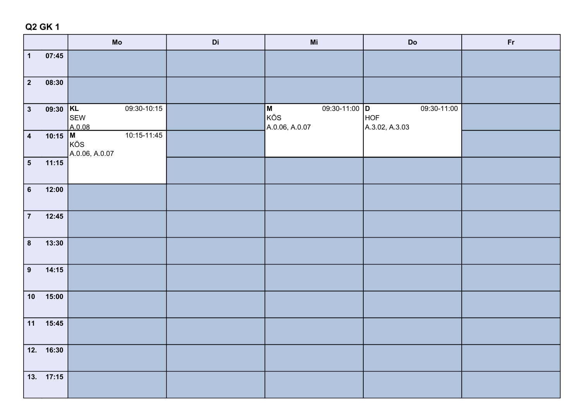|                         |            | ${\sf Mo}$                           | Di | $\mathsf{Mi}$                                                                                                                                        | $\mathbf{Do}$                               | Fr |
|-------------------------|------------|--------------------------------------|----|------------------------------------------------------------------------------------------------------------------------------------------------------|---------------------------------------------|----|
| $\overline{\mathbf{1}}$ | 07:45      |                                      |    |                                                                                                                                                      |                                             |    |
| $\overline{2}$          | 08:30      |                                      |    |                                                                                                                                                      |                                             |    |
| $\overline{\mathbf{3}}$ | $09:30$ KL | 09:30-10:15<br>SEW<br>A.0.08         |    | 09:30-11:00 D<br>$\mathsf{M}% _{T}=\mathsf{M}_{T}\!\left( a,b\right) ,\ \mathsf{M}_{T}=\mathsf{M}_{T}\!\left( a,b\right) ,$<br>KÖS<br>A.0.06, A.0.07 | 09:30-11:00<br><b>HOF</b><br>A.3.02, A.3.03 |    |
| $\overline{\mathbf{4}}$ | 10:15   M  | 10:15-11:45<br>KÖS<br>A.0.06, A.0.07 |    |                                                                                                                                                      |                                             |    |
| $\overline{\mathbf{5}}$ | 11:15      |                                      |    |                                                                                                                                                      |                                             |    |
| $6\phantom{a}$          | 12:00      |                                      |    |                                                                                                                                                      |                                             |    |
| $\overline{7}$          | 12:45      |                                      |    |                                                                                                                                                      |                                             |    |
| $\boldsymbol{8}$        | 13:30      |                                      |    |                                                                                                                                                      |                                             |    |
| 9                       | 14:15      |                                      |    |                                                                                                                                                      |                                             |    |
| $10$                    | 15:00      |                                      |    |                                                                                                                                                      |                                             |    |
| 11                      | 15:45      |                                      |    |                                                                                                                                                      |                                             |    |
|                         | 12. 16:30  |                                      |    |                                                                                                                                                      |                                             |    |
|                         | 13. 17:15  |                                      |    |                                                                                                                                                      |                                             |    |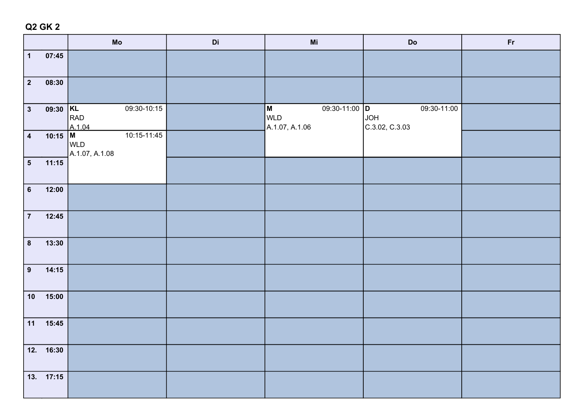|                         |           | ${\sf Mo}$                           | Di | $\mathsf{Mi}$                                                                                                                                                                                            | $\mathsf{Do}$                               | Fr |
|-------------------------|-----------|--------------------------------------|----|----------------------------------------------------------------------------------------------------------------------------------------------------------------------------------------------------------|---------------------------------------------|----|
| $\overline{\mathbf{1}}$ | 07:45     |                                      |    |                                                                                                                                                                                                          |                                             |    |
| $\overline{2}$          | 08:30     |                                      |    |                                                                                                                                                                                                          |                                             |    |
| $\overline{\mathbf{3}}$ | 09:30 KL  | 09:30-10:15<br>RAD<br>A.1.04         |    | 09:30-11:00 D<br>$\mathsf{M}% _{T}=\mathsf{M}_{T}\!\left( a,b\right) ,\ \mathsf{M}_{T}=\mathsf{M}_{T}\!\left( a,b\right) ,\ \mathsf{M}_{T}=\mathsf{M}_{T}\!\left( a,b\right) ,$<br>WLD<br>A.1.07, A.1.06 | 09:30-11:00<br><b>HOL</b><br>C.3.02, C.3.03 |    |
| $\overline{\mathbf{4}}$ | 10:15 M   | 10:15-11:45<br>WLD<br>A.1.07, A.1.08 |    |                                                                                                                                                                                                          |                                             |    |
| $\overline{\mathbf{5}}$ | 11:15     |                                      |    |                                                                                                                                                                                                          |                                             |    |
| $6\phantom{a}$          | 12:00     |                                      |    |                                                                                                                                                                                                          |                                             |    |
| $\overline{7}$          | 12:45     |                                      |    |                                                                                                                                                                                                          |                                             |    |
| $\boldsymbol{8}$        | 13:30     |                                      |    |                                                                                                                                                                                                          |                                             |    |
| 9                       | 14:15     |                                      |    |                                                                                                                                                                                                          |                                             |    |
| $10$                    | 15:00     |                                      |    |                                                                                                                                                                                                          |                                             |    |
| 11                      | 15:45     |                                      |    |                                                                                                                                                                                                          |                                             |    |
|                         | 12. 16:30 |                                      |    |                                                                                                                                                                                                          |                                             |    |
|                         | 13. 17:15 |                                      |    |                                                                                                                                                                                                          |                                             |    |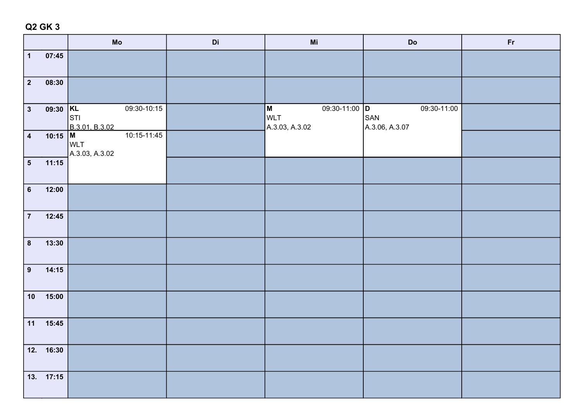|                         |            | Mo                                          | Di | Mi                                                                         | $\mathbf{Do}$                        | Fr |
|-------------------------|------------|---------------------------------------------|----|----------------------------------------------------------------------------|--------------------------------------|----|
| $\overline{1}$          | 07:45      |                                             |    |                                                                            |                                      |    |
| $\overline{2}$          | 08:30      |                                             |    |                                                                            |                                      |    |
| $\overline{\mathbf{3}}$ | $09:30$ KL | 09:30-10:15<br>STI <br>B.3.01, B.3.02       |    | 09:30-11:00 D<br>$\boldsymbol{\mathsf{M}}$<br><b>WLT</b><br>A.3.03, A.3.02 | 09:30-11:00<br>SAN<br>A.3.06, A.3.07 |    |
| $\overline{\mathbf{4}}$ | 10:15 M    | 10:15-11:45<br><b>WLT</b><br>A.3.03, A.3.02 |    |                                                                            |                                      |    |
| $\overline{\mathbf{5}}$ | 11:15      |                                             |    |                                                                            |                                      |    |
| $6\phantom{a}$          | 12:00      |                                             |    |                                                                            |                                      |    |
| $\overline{7}$          | 12:45      |                                             |    |                                                                            |                                      |    |
| $\boldsymbol{8}$        | 13:30      |                                             |    |                                                                            |                                      |    |
| $\overline{9}$          | 14:15      |                                             |    |                                                                            |                                      |    |
| 10                      | 15:00      |                                             |    |                                                                            |                                      |    |
| 11                      | 15:45      |                                             |    |                                                                            |                                      |    |
|                         | 12. 16:30  |                                             |    |                                                                            |                                      |    |
|                         | 13. 17:15  |                                             |    |                                                                            |                                      |    |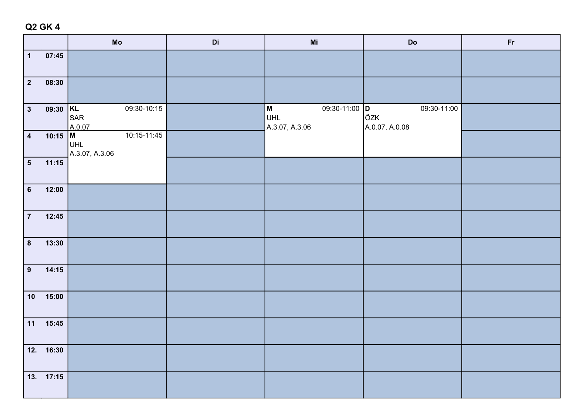|                         |           | ${\sf Mo}$                           | Di | $\mathsf{Mi}$                                      | $\mathsf{Do}$                 | Fr |
|-------------------------|-----------|--------------------------------------|----|----------------------------------------------------|-------------------------------|----|
| $\overline{\mathbf{1}}$ | 07:45     |                                      |    |                                                    |                               |    |
| $\overline{2}$          | 08:30     |                                      |    |                                                    |                               |    |
| $\overline{\mathbf{3}}$ | 09:30 KL  | 09:30-10:15<br>SAR<br>A.0.07         |    | 09:30-11:00 D<br>ÖZK<br>M<br>UHL<br>A.3.07, A.3.06 | 09:30-11:00<br>A.0.07, A.0.08 |    |
| $\overline{4}$          | 10:15   M | 10:15-11:45<br>UHL<br>A.3.07, A.3.06 |    |                                                    |                               |    |
| $\overline{\mathbf{5}}$ | 11:15     |                                      |    |                                                    |                               |    |
| $6\phantom{a}$          | 12:00     |                                      |    |                                                    |                               |    |
| $\overline{7}$          | 12:45     |                                      |    |                                                    |                               |    |
| $\boldsymbol{8}$        | 13:30     |                                      |    |                                                    |                               |    |
| 9                       | 14:15     |                                      |    |                                                    |                               |    |
| $10$                    | 15:00     |                                      |    |                                                    |                               |    |
| 11                      | 15:45     |                                      |    |                                                    |                               |    |
|                         | 12. 16:30 |                                      |    |                                                    |                               |    |
|                         | 13. 17:15 |                                      |    |                                                    |                               |    |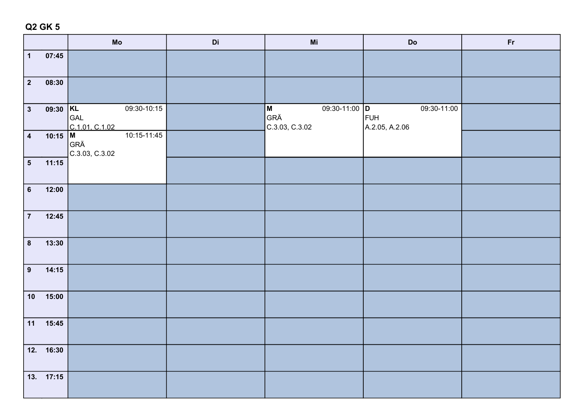|                         |            | Mo                                   | Di | $\mathsf{Mi}$                               | $\mathbf{Do}$                               | Fr |
|-------------------------|------------|--------------------------------------|----|---------------------------------------------|---------------------------------------------|----|
| $\mathbf{1}$            | 07:45      |                                      |    |                                             |                                             |    |
| $\boxed{2}$             | 08:30      |                                      |    |                                             |                                             |    |
| $\overline{\mathbf{3}}$ | $09:30$ KL | 09:30-10:15<br>GAL<br>C.1.01, C.1.02 |    | 09:30-11:00 D<br>M<br>GRÄ<br>C.3.03, C.3.02 | 09:30-11:00<br><b>FUH</b><br>A.2.05, A.2.06 |    |
| $\overline{4}$          | 10:15 M    | 10:15-11:45<br>GRÄ<br>C.3.03, C.3.02 |    |                                             |                                             |    |
| $\overline{\mathbf{5}}$ | 11:15      |                                      |    |                                             |                                             |    |
| $6\phantom{a}$          | 12:00      |                                      |    |                                             |                                             |    |
| $\overline{7}$          | 12:45      |                                      |    |                                             |                                             |    |
| $\overline{\mathbf{8}}$ | 13:30      |                                      |    |                                             |                                             |    |
| $\overline{9}$          | 14:15      |                                      |    |                                             |                                             |    |
| 10                      | 15:00      |                                      |    |                                             |                                             |    |
|                         | $11$ 15:45 |                                      |    |                                             |                                             |    |
|                         | 12. 16:30  |                                      |    |                                             |                                             |    |
|                         | 13. 17:15  |                                      |    |                                             |                                             |    |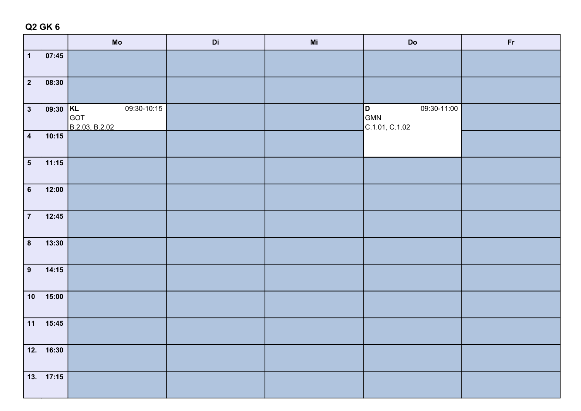|                         |           | ${\sf Mo}$                           | Di | $\mathsf{Mi}$ | $\mathbf{Do}$                             | Fr |
|-------------------------|-----------|--------------------------------------|----|---------------|-------------------------------------------|----|
| $\vert$ 1               | 07:45     |                                      |    |               |                                           |    |
| $\boxed{2}$             | 08:30     |                                      |    |               |                                           |    |
| $\boxed{3}$             | 09:30 KL  | 09:30-10:15<br>GOT<br>B.2.03, B.2.02 |    |               | 09:30-11:00<br>D<br>GMN<br>C.1.01, C.1.02 |    |
| $\overline{4}$          | 10:15     |                                      |    |               |                                           |    |
| $\overline{\mathbf{5}}$ | 11:15     |                                      |    |               |                                           |    |
| $6\phantom{a}$          | 12:00     |                                      |    |               |                                           |    |
| $\overline{7}$          | 12:45     |                                      |    |               |                                           |    |
| $\boldsymbol{8}$        | 13:30     |                                      |    |               |                                           |    |
| $\overline{9}$          | 14:15     |                                      |    |               |                                           |    |
| 10                      | 15:00     |                                      |    |               |                                           |    |
| $11$                    | 15:45     |                                      |    |               |                                           |    |
|                         | 12. 16:30 |                                      |    |               |                                           |    |
|                         | 13. 17:15 |                                      |    |               |                                           |    |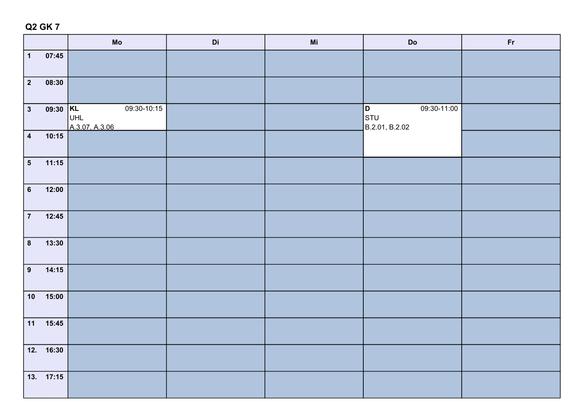|                         |            | $\mathop{\sf Mo}\nolimits$           | Di | M <sub>i</sub> | $\mathsf{Do}$                                                                                           | Fr |
|-------------------------|------------|--------------------------------------|----|----------------|---------------------------------------------------------------------------------------------------------|----|
| $\mathbf 1$             | 07:45      |                                      |    |                |                                                                                                         |    |
| $\overline{\mathbf{2}}$ | 08:30      |                                      |    |                |                                                                                                         |    |
| $\mathbf{3}$            | $09:30$ KL | 09:30-10:15<br>UHL<br>A.3.07, A.3.06 |    |                | 09:30-11:00<br>$\left  \begin{matrix} \texttt{D} \ \texttt{STU} \end{matrix} \right $<br>B.2.01, B.2.02 |    |
| $\overline{\mathbf{4}}$ | 10:15      |                                      |    |                |                                                                                                         |    |
| 5 <sup>5</sup>          | 11:15      |                                      |    |                |                                                                                                         |    |
| $6\phantom{a}$          | 12:00      |                                      |    |                |                                                                                                         |    |
| $\overline{7}$          | 12:45      |                                      |    |                |                                                                                                         |    |
| $\boldsymbol{8}$        | 13:30      |                                      |    |                |                                                                                                         |    |
| $\overline{9}$          | 14:15      |                                      |    |                |                                                                                                         |    |
| 10                      | 15:00      |                                      |    |                |                                                                                                         |    |
| $11$                    | 15:45      |                                      |    |                |                                                                                                         |    |
|                         | 12. 16:30  |                                      |    |                |                                                                                                         |    |
|                         | 13. 17:15  |                                      |    |                |                                                                                                         |    |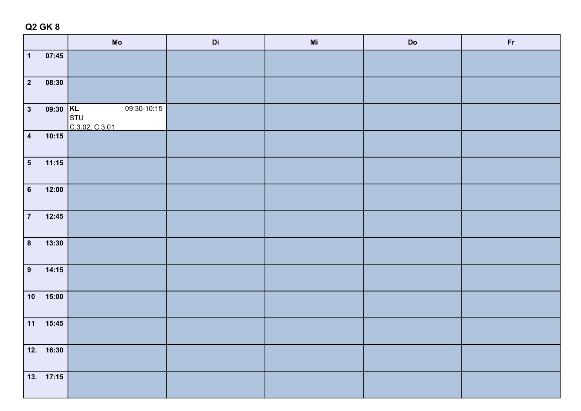|                          |                                                                                      | $\mathsf{Mo}% _{\mathsf{C}}\left( \mathcal{N}\right) \equiv\mathsf{Mo}_{\mathsf{C}}\left( \mathcal{N}\right)$ | $\mathsf{Di}\xspace$ | Mi | $\mathbf{Do}$ | Fr |
|--------------------------|--------------------------------------------------------------------------------------|---------------------------------------------------------------------------------------------------------------|----------------------|----|---------------|----|
| $\boxed{1}$              | 07:45                                                                                |                                                                                                               |                      |    |               |    |
| $\boxed{2}$              | 08:30                                                                                |                                                                                                               |                      |    |               |    |
| $\sqrt{3}$               | $\begin{array}{ c c }\n\hline\n09:30 & \text{KL} \\ \hline\n\text{STU}\n\end{array}$ | $09:30-10:15$<br>C.3.02, C.3.01                                                                               |                      |    |               |    |
| $\overline{4}$           | 10:15                                                                                |                                                                                                               |                      |    |               |    |
| $\overline{\phantom{0}}$ | 11:15                                                                                |                                                                                                               |                      |    |               |    |
| $\overline{6}$           | 12:00                                                                                |                                                                                                               |                      |    |               |    |
| $\overline{7}$           | 12:45                                                                                |                                                                                                               |                      |    |               |    |
| $\overline{\mathbf{8}}$  | 13:30                                                                                |                                                                                                               |                      |    |               |    |
| $\overline{9}$           | 14:15                                                                                |                                                                                                               |                      |    |               |    |
| 10                       | 15:00                                                                                |                                                                                                               |                      |    |               |    |
| $\boxed{11}$             | 15:45                                                                                |                                                                                                               |                      |    |               |    |
|                          | 12. 16:30                                                                            |                                                                                                               |                      |    |               |    |
|                          | 13. 17:15                                                                            |                                                                                                               |                      |    |               |    |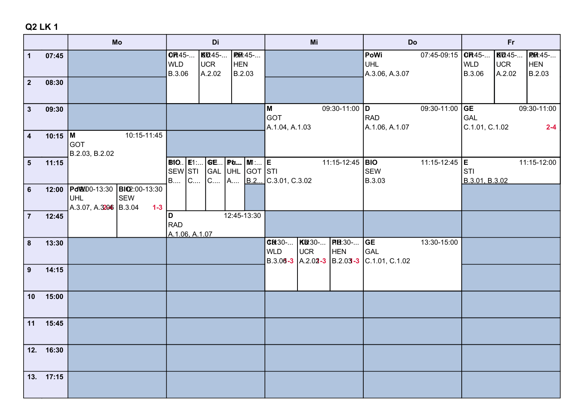|                               |                |                                                    | Mo                                           |                                                           | Di                                     |                                        |           |                            | Mi            |                                                                 | Do                                        |                    | Fr                           |                                |                                        |
|-------------------------------|----------------|----------------------------------------------------|----------------------------------------------|-----------------------------------------------------------|----------------------------------------|----------------------------------------|-----------|----------------------------|---------------|-----------------------------------------------------------------|-------------------------------------------|--------------------|------------------------------|--------------------------------|----------------------------------------|
| $\mathbf 1$<br>2 <sup>1</sup> | 07:45<br>08:30 |                                                    |                                              | OH45-<br><b>WLD</b><br>B.3.06                             | <b>KU</b> :45-<br><b>UCR</b><br>A.2.02 | <b>HEN</b><br>B.2.03                   | PDF 1:45- |                            |               |                                                                 | PoWi<br><b>UHL</b><br>A.3.06, A.3.07      | 07:45-09:15 $OR45$ | <b>WLD</b><br>B.3.06         | KD:45-<br><b>UCR</b><br>A.2.02 | <b>PH</b> :45-<br><b>HEN</b><br>B.2.03 |
| 3 <sup>1</sup>                | 09:30          |                                                    |                                              |                                                           |                                        |                                        |           | M<br>GOT<br>A.1.04, A.1.03 |               | 09:30-11:00 D                                                   | <b>RAD</b><br>A.1.06, A.1.07              | 09:30-11:00 GE     | <b>GAL</b><br>C.1.01, C.1.02 |                                | 09:30-11:00<br>$2 - 4$                 |
| $\overline{\mathbf{4}}$       | $10:15$ M      | <b>GOT</b><br>B.2.03, B.2.02                       | 10:15-11:45                                  |                                                           |                                        |                                        |           |                            |               |                                                                 |                                           |                    |                              |                                |                                        |
| $5\phantom{.0}$               | 11:15          |                                                    |                                              | <b>B1O.</b>   E1:<br>SEW STI<br>$\mathsf{IC}$<br><b>B</b> | $C$                                    | <b>GE</b>   Po<br>GAL UHL GOT STI<br>A | . MI :… E | $B.2$ C.3.01, C.3.02       |               | 11:15-12:45 <b>BIO</b>                                          | <b>SEW</b><br>B.3.03                      | 11:15-12:45  E     | sτι<br>B.3.01, B.3.02        |                                | 11:15-12:00                            |
| $6\phantom{1}$                | 12:00          | PdWD0-13:30<br><b>UHL</b><br>A.3.07, A.3206 B.3.04 | <b>BIO</b> 2:00-13:30<br><b>SEW</b><br>$1-3$ |                                                           |                                        |                                        |           |                            |               |                                                                 |                                           |                    |                              |                                |                                        |
| $\overline{7}$                | 12:45          |                                                    |                                              | D<br><b>RAD</b><br>A.1.06, A.1.07                         |                                        | 12:45-13:30                            |           |                            |               |                                                                 |                                           |                    |                              |                                |                                        |
| 8                             | 13:30          |                                                    |                                              |                                                           |                                        |                                        |           | CBt30-<br><b>WLD</b>       | KB:30-<br>UCR | <b>PHE:30-</b><br>HEN<br>$B.3.06 - 3$ $A.2.02 - 3$ $B.2.03 - 3$ | <b>GE</b><br><b>GAL</b><br>C.1.01, C.1.02 | 13:30-15:00        |                              |                                |                                        |
| 9                             | 14:15          |                                                    |                                              |                                                           |                                        |                                        |           |                            |               |                                                                 |                                           |                    |                              |                                |                                        |
| 10                            | 15:00          |                                                    |                                              |                                                           |                                        |                                        |           |                            |               |                                                                 |                                           |                    |                              |                                |                                        |
| 11                            | 15:45          |                                                    |                                              |                                                           |                                        |                                        |           |                            |               |                                                                 |                                           |                    |                              |                                |                                        |
|                               | 12. 16:30      |                                                    |                                              |                                                           |                                        |                                        |           |                            |               |                                                                 |                                           |                    |                              |                                |                                        |
|                               | 13. 17:15      |                                                    |                                              |                                                           |                                        |                                        |           |                            |               |                                                                 |                                           |                    |                              |                                |                                        |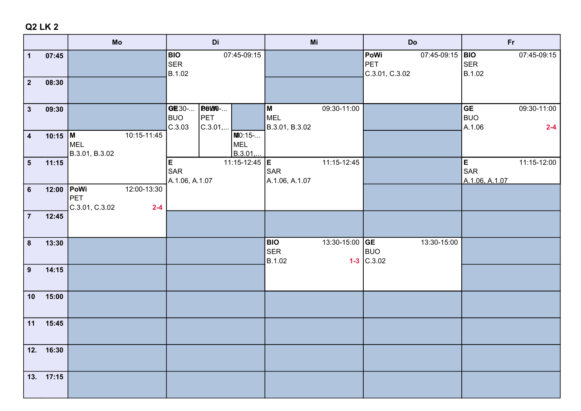|                                         |                | Mo                                                                    | Di                                                              | Mi                                               | Do                                                | <b>Fr</b>                                                   |
|-----------------------------------------|----------------|-----------------------------------------------------------------------|-----------------------------------------------------------------|--------------------------------------------------|---------------------------------------------------|-------------------------------------------------------------|
| $\mathbf{1}$<br>$\overline{\mathbf{2}}$ | 07:45<br>08:30 |                                                                       | 07:45-09:15<br><b>BIO</b><br>SER<br>B.1.02                      |                                                  | PoWi<br>07:45-09:15  BIO<br>PET<br>C.3.01, C.3.02 | 07:45-09:15<br><b>SER</b><br>B.1.02                         |
|                                         |                |                                                                       |                                                                 |                                                  |                                                   |                                                             |
| $\mathbf{3}$                            | 09:30          |                                                                       | <b>POW0-</b><br>GE30-<br>PET<br><b>BUO</b><br>C.3.01,<br>C.3.03 | 09:30-11:00<br>M<br><b>MEL</b><br>B.3.01, B.3.02 |                                                   | <b>GE</b><br>09:30-11:00<br><b>BUO</b><br>A.1.06<br>$2 - 4$ |
| $\overline{\mathbf{4}}$                 | 10:15 M        | 10:15-11:45<br>MEL<br>B.3.01, B.3.02                                  | $M = 15 - $<br><b>MEL</b><br>B.3.01,                            |                                                  |                                                   |                                                             |
| $5\phantom{.0}$                         | 11:15          |                                                                       | E<br>11:15-12:45 <b>E</b><br>SAR<br>A.1.06, A.1.07              | 11:15-12:45<br><b>SAR</b><br>A.1.06, A.1.07      |                                                   | E<br>11:15-12:00<br>SAR<br>A.1.06, A.1.07                   |
| $\bf 6$                                 | 12:00          | <b>PoWi</b><br>12:00-13:30<br><b>PET</b><br>C.3.01, C.3.02<br>$2 - 4$ |                                                                 |                                                  |                                                   |                                                             |
| $\overline{7}$                          | 12:45          |                                                                       |                                                                 |                                                  |                                                   |                                                             |
| $\bf{8}$                                | 13:30          |                                                                       |                                                                 | 13:30-15:00 GE<br><b>BIO</b><br>SER<br>B.1.02    | 13:30-15:00<br><b>BUO</b><br>$1-3$ C.3.02         |                                                             |
| 9                                       | 14:15          |                                                                       |                                                                 |                                                  |                                                   |                                                             |
| 10                                      | 15:00          |                                                                       |                                                                 |                                                  |                                                   |                                                             |
| 11                                      | 15:45          |                                                                       |                                                                 |                                                  |                                                   |                                                             |
|                                         | 12. 16:30      |                                                                       |                                                                 |                                                  |                                                   |                                                             |
|                                         | 13. 17:15      |                                                                       |                                                                 |                                                  |                                                   |                                                             |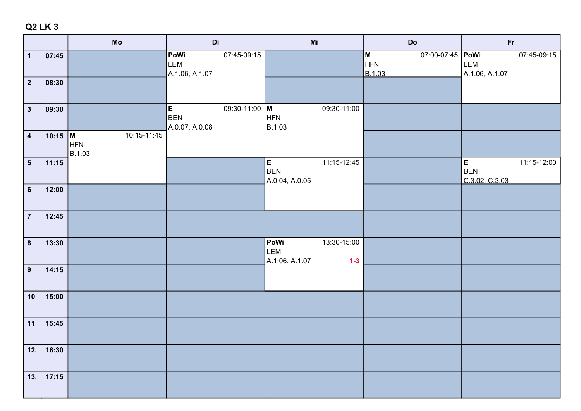|                                         |                | Mo                           | Di                                                   | Mi                                                    | Do                                       | <b>Fr</b>                                        |
|-----------------------------------------|----------------|------------------------------|------------------------------------------------------|-------------------------------------------------------|------------------------------------------|--------------------------------------------------|
| $\mathbf{1}$<br>$\overline{\mathbf{2}}$ | 07:45<br>08:30 |                              | 07:45-09:15<br>PoWi<br>LEM<br>A.1.06, A.1.07         |                                                       | M<br>07:00-07:45   PoWi<br>HFN<br>B.1.03 | 07:45-09:15<br>LEM<br>A.1.06, A.1.07             |
|                                         |                |                              |                                                      |                                                       |                                          |                                                  |
| $\mathbf{3}$                            | 09:30          |                              | E<br>$09:30-11:00$ M<br><b>BEN</b><br>A.0.07, A.0.08 | 09:30-11:00<br><b>HFN</b><br>B.1.03                   |                                          |                                                  |
| $\overline{\mathbf{4}}$                 | 10:15   M      | 10:15-11:45<br>HFN<br>B.1.03 |                                                      |                                                       |                                          |                                                  |
| $5\phantom{.0}$                         | 11:15          |                              |                                                      | E<br>11:15-12:45<br><b>BEN</b><br>A.0.04, A.0.05      |                                          | E<br>11:15-12:00<br><b>BEN</b><br>C.3.02, C.3.03 |
| $6\phantom{a}$                          | 12:00          |                              |                                                      |                                                       |                                          |                                                  |
| $\overline{7}$                          | 12:45          |                              |                                                      |                                                       |                                          |                                                  |
| $\bf{8}$                                | 13:30          |                              |                                                      | 13:30-15:00<br>PoWi<br>LEM<br>A.1.06, A.1.07<br>$1-3$ |                                          |                                                  |
| $\boldsymbol{9}$                        | 14:15          |                              |                                                      |                                                       |                                          |                                                  |
| 10                                      | 15:00          |                              |                                                      |                                                       |                                          |                                                  |
| 11                                      | 15:45          |                              |                                                      |                                                       |                                          |                                                  |
|                                         | 12. 16:30      |                              |                                                      |                                                       |                                          |                                                  |
|                                         | 13. 17:15      |                              |                                                      |                                                       |                                          |                                                  |